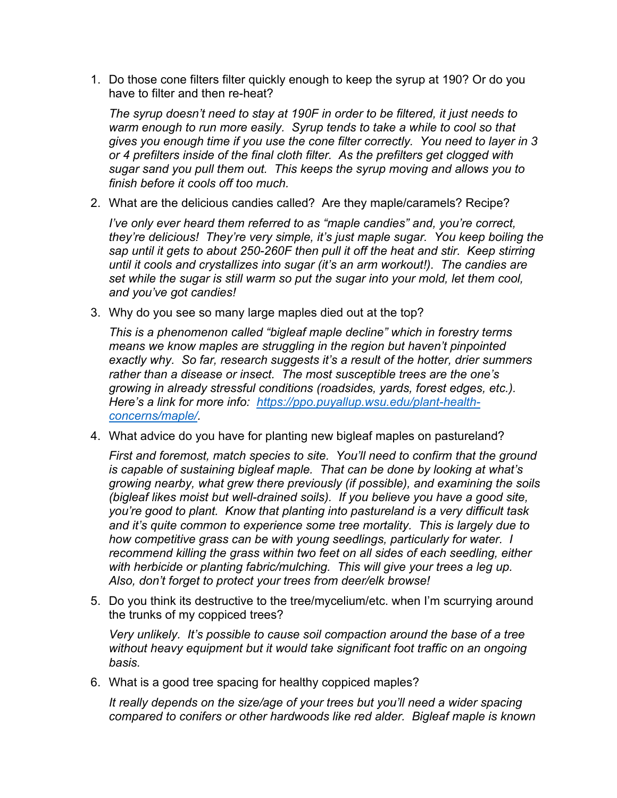1. Do those cone filters filter quickly enough to keep the syrup at 190? Or do you have to filter and then re-heat?

*The syrup doesn't need to stay at 190F in order to be filtered, it just needs to warm enough to run more easily. Syrup tends to take a while to cool so that gives you enough time if you use the cone filter correctly. You need to layer in 3 or 4 prefilters inside of the final cloth filter. As the prefilters get clogged with sugar sand you pull them out. This keeps the syrup moving and allows you to finish before it cools off too much.*

2. What are the delicious candies called? Are they maple/caramels? Recipe?

*I've only ever heard them referred to as "maple candies" and, you're correct, they're delicious! They're very simple, it's just maple sugar. You keep boiling the sap until it gets to about 250-260F then pull it off the heat and stir. Keep stirring until it cools and crystallizes into sugar (it's an arm workout!). The candies are set while the sugar is still warm so put the sugar into your mold, let them cool, and you've got candies!*

3. Why do you see so many large maples died out at the top?

*This is a phenomenon called "bigleaf maple decline" which in forestry terms means we know maples are struggling in the region but haven't pinpointed exactly why. So far, research suggests it's a result of the hotter, drier summers rather than a disease or insect. The most susceptible trees are the one's growing in already stressful conditions (roadsides, yards, forest edges, etc.). Here's a link for more info: [https://ppo.puyallup.wsu.edu/plant-health](https://ppo.puyallup.wsu.edu/plant-health-concerns/maple/)[concerns/maple/.](https://ppo.puyallup.wsu.edu/plant-health-concerns/maple/)* 

4. What advice do you have for planting new bigleaf maples on pastureland?

*First and foremost, match species to site. You'll need to confirm that the ground is capable of sustaining bigleaf maple. That can be done by looking at what's growing nearby, what grew there previously (if possible), and examining the soils (bigleaf likes moist but well-drained soils). If you believe you have a good site, you're good to plant. Know that planting into pastureland is a very difficult task and it's quite common to experience some tree mortality. This is largely due to how competitive grass can be with young seedlings, particularly for water. I recommend killing the grass within two feet on all sides of each seedling, either*  with herbicide or planting fabric/mulching. This will give your trees a leg up. *Also, don't forget to protect your trees from deer/elk browse!*

5. Do you think its destructive to the tree/mycelium/etc. when I'm scurrying around the trunks of my coppiced trees?

*Very unlikely. It's possible to cause soil compaction around the base of a tree without heavy equipment but it would take significant foot traffic on an ongoing basis.* 

6. What is a good tree spacing for healthy coppiced maples?

*It really depends on the size/age of your trees but you'll need a wider spacing compared to conifers or other hardwoods like red alder. Bigleaf maple is known*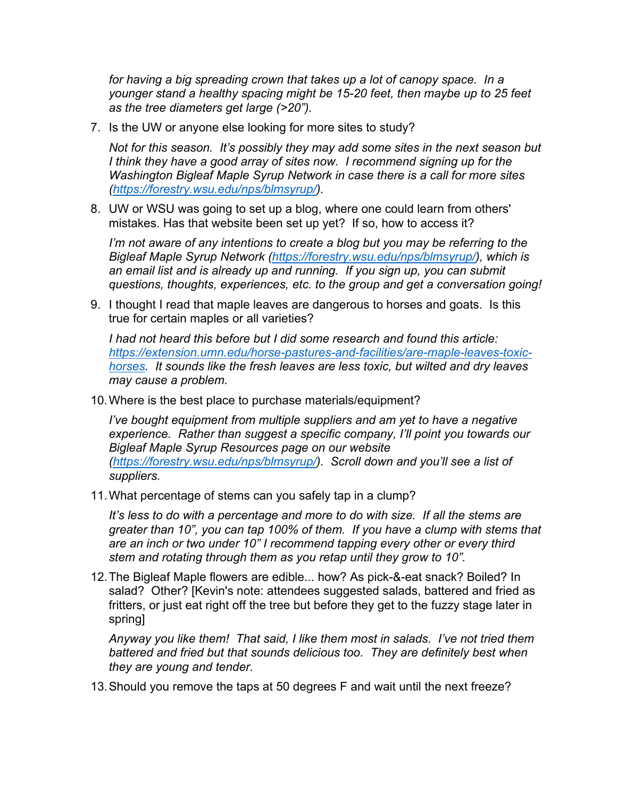for having a big spreading crown that takes up a lot of canopy space. In a *younger stand a healthy spacing might be 15-20 feet, then maybe up to 25 feet as the tree diameters get large (>20").* 

7. Is the UW or anyone else looking for more sites to study?

*Not for this season. It's possibly they may add some sites in the next season but*  I think they have a good array of sites now. I recommend signing up for the *Washington Bigleaf Maple Syrup Network in case there is a call for more sites [\(https://forestry.wsu.edu/nps/blmsyrup/\)](https://forestry.wsu.edu/nps/blmsyrup/).* 

8. UW or WSU was going to set up a blog, where one could learn from others' mistakes. Has that website been set up yet? If so, how to access it?

*I'm not aware of any intentions to create a blog but you may be referring to the Bigleaf Maple Syrup Network [\(https://forestry.wsu.edu/nps/blmsyrup/\)](https://forestry.wsu.edu/nps/blmsyrup/), which is an email list and is already up and running. If you sign up, you can submit questions, thoughts, experiences, etc. to the group and get a conversation going!*

9. I thought I read that maple leaves are dangerous to horses and goats. Is this true for certain maples or all varieties?

*I had not heard this before but I did some research and found this article: [https://extension.umn.edu/horse-pastures-and-facilities/are-maple-leaves-toxic](https://extension.umn.edu/horse-pastures-and-facilities/are-maple-leaves-toxic-horses)[horses.](https://extension.umn.edu/horse-pastures-and-facilities/are-maple-leaves-toxic-horses) It sounds like the fresh leaves are less toxic, but wilted and dry leaves may cause a problem.* 

10.Where is the best place to purchase materials/equipment?

*I've bought equipment from multiple suppliers and am yet to have a negative experience. Rather than suggest a specific company, I'll point you towards our Bigleaf Maple Syrup Resources page on our website [\(https://forestry.wsu.edu/nps/blmsyrup/\)](https://forestry.wsu.edu/nps/blmsyrup/). Scroll down and you'll see a list of suppliers.* 

11.What percentage of stems can you safely tap in a clump?

*It's less to do with a percentage and more to do with size. If all the stems are greater than 10", you can tap 100% of them. If you have a clump with stems that are an inch or two under 10" I recommend tapping every other or every third stem and rotating through them as you retap until they grow to 10".* 

12.The Bigleaf Maple flowers are edible... how? As pick-&-eat snack? Boiled? In salad? Other? [Kevin's note: attendees suggested salads, battered and fried as fritters, or just eat right off the tree but before they get to the fuzzy stage later in spring]

*Anyway you like them! That said, I like them most in salads. I've not tried them battered and fried but that sounds delicious too. They are definitely best when they are young and tender.* 

13.Should you remove the taps at 50 degrees F and wait until the next freeze?